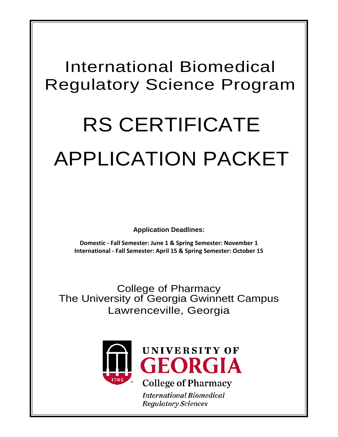# International Biomedical Regulatory Science Program

# RS CERTIFICATE APPLICATION PACKET

**Application Deadlines:**

**Domestic - Fall Semester: June 1 & Spring Semester: November 1 International - Fall Semester: April 15 & Spring Semester: October 15**

College of Pharmacy The University of Georgia Gwinnett Campus Lawrenceville, Georgia



**International Biomedical Regulatory Sciences**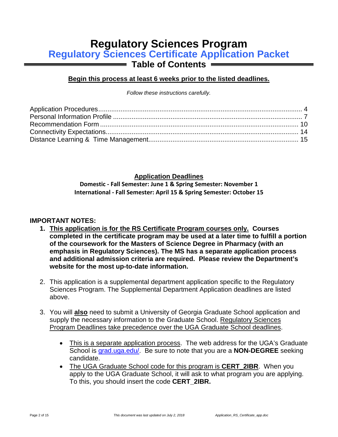# **Regulatory Sciences Program**

**Regulatory Sciences Certificate Application Packet**

**Table of Contents**

#### **Begin this process at least 6 weeks prior to the listed deadlines.**

*Follow these instructions carefully.*

#### **Application Deadlines**

**Domestic - Fall Semester: June 1 & Spring Semester: November 1 International - Fall Semester: April 15 & Spring Semester: October 15**

#### **IMPORTANT NOTES:**

- **1. This application is for the RS Certificate Program courses only. Courses completed in the certificate program may be used at a later time to fulfill a portion of the coursework for the Masters of Science Degree in Pharmacy (with an emphasis in Regulatory Sciences). The MS has a separate application process and additional admission criteria are required. Please review the Department's website for the most up-to-date information.**
- 2. This application is a supplemental department application specific to the Regulatory Sciences Program. The Supplemental Department Application deadlines are listed above.
- 3. You will **also** need to submit a University of Georgia Graduate School application and supply the necessary information to the Graduate School. Regulatory Sciences Program Deadlines take precedence over the UGA Graduate School deadlines.
	- This is a separate application process. The web address for the UGA's Graduate School is [grad.uga.edu/.](http://grad.uga.edu/) Be sure to note that you are a **NON-DEGREE** seeking candidate.
	- The UGA Graduate School code for this program is **CERT\_2IBR**. When you apply to the UGA Graduate School, it will ask to what program you are applying. To this, you should insert the code **CERT\_2IBR.**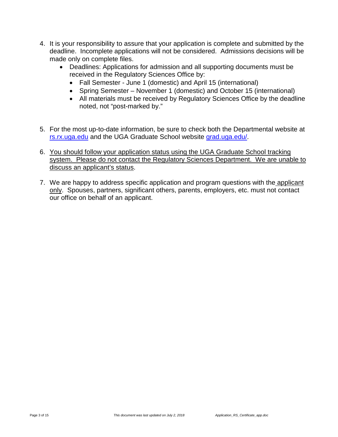- 4. It is your responsibility to assure that your application is complete and submitted by the deadline. Incomplete applications will not be considered. Admissions decisions will be made only on complete files.
	- Deadlines: Applications for admission and all supporting documents must be received in the Regulatory Sciences Office by:
		- Fall Semester June 1 (domestic) and April 15 (international)
		- Spring Semester November 1 (domestic) and October 15 (international)
		- All materials must be received by Regulatory Sciences Office by the deadline noted, not "post-marked by."
- 5. For the most up-to-date information, be sure to check both the Departmental website at [rs.rx.uga.edu](http://rs.rx.uga.edu/) and the UGA Graduate School website [grad.uga.edu/.](http://grad.uga.edu/)
- 6. You should follow your application status using the UGA Graduate School tracking system. Please do not contact the Regulatory Sciences Department. We are unable to discuss an applicant's status.
- 7. We are happy to address specific application and program questions with the applicant only. Spouses, partners, significant others, parents, employers, etc. must not contact our office on behalf of an applicant.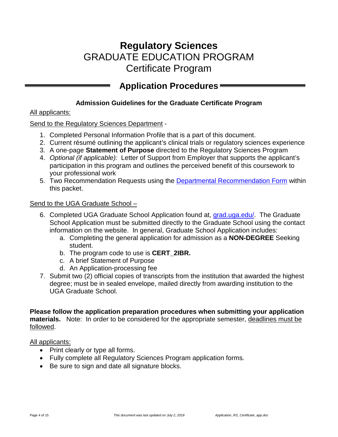# **Regulatory Sciences** GRADUATE EDUCATION PROGRAM Certificate Program

# <span id="page-3-0"></span>**Application Procedures**

#### **Admission Guidelines for the Graduate Certificate Program**

#### All applicants:

#### Send to the Regulatory Sciences Department -

- 1. Completed Personal Information Profile that is a part of this document.
- 2. Current résumé outlining the applicant's clinical trials or regulatory sciences experience
- 3. A one-page **Statement of Purpose** directed to the Regulatory Sciences Program
- 4. *Optional (if applicable):* Letter of Support from Employer that supports the applicant's participation in this program and outlines the perceived benefit of this coursework to your professional work
- 5. Two Recommendation Requests using the [Departmental Recommendation Form](#page-8-0) within this packet.

#### Send to the UGA Graduate School –

- 6. Completed UGA Graduate School Application found at, [grad.uga.edu/.](http://grad.uga.edu/) The Graduate School Application must be submitted directly to the Graduate School using the contact information on the website. In general, Graduate School Application includes:
	- a. Completing the general application for admission as a **NON-DEGREE** Seeking student.
	- b. The program code to use is **CERT\_2IBR.**
	- c. A brief Statement of Purpose
	- d. An Application-processing fee
- 7. Submit two (2) official copies of transcripts from the institution that awarded the highest degree; must be in sealed envelope, mailed directly from awarding institution to the UGA Graduate School.

**Please follow the application preparation procedures when submitting your application materials.** Note: In order to be considered for the appropriate semester, deadlines must be followed.

All applicants:

- Print clearly or type all forms.
- Fully complete all Regulatory Sciences Program application forms.
- Be sure to sign and date all signature blocks.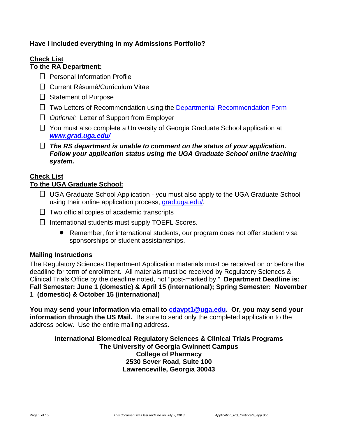#### **Have I included everything in my Admissions Portfolio?**

#### **Check List To the RA Department:**

- $\Box$  Personal Information Profile
- □ Current Résumé/Curriculum Vitae
- $\Box$  Statement of Purpose
- $\Box$  Two Letters of Recommendation using the [Departmental Recommendation Form](#page-8-0)
- *Optional:* Letter of Support from Employer
- $\Box$  You must also complete a University of Georgia Graduate School application at *[www.grad.uga.edu/](http://www.grad.uga.edu/)*
- *The RS department is unable to comment on the status of your application. Follow your application status using the UGA Graduate School online tracking system.*

#### **Check List**

#### **To the UGA Graduate School:**

- $\Box$  UGA Graduate School Application you must also apply to the UGA Graduate School using their online application process, [grad.uga.edu/.](http://grad.uga.edu/)
- $\Box$  Two official copies of academic transcripts
- $\Box$  International students must supply TOEFL Scores.
	- Remember, for international students, our program does not offer student visa sponsorships or student assistantships.

#### **Mailing Instructions**

The Regulatory Sciences Department Application materials must be received on or before the deadline for term of enrollment. All materials must be received by Regulatory Sciences & Clinical Trials Office by the deadline noted, not "post-marked by." **Department Deadline is: Fall Semester: June 1 (domestic) & April 15 (international); Spring Semester: November 1 (domestic) & October 15 (international)**

**You may send your information via email to [cdavpt1@uga.edu.](mailto:cdavpt1@uga.edu) Or, you may send your information through the US Mail.** Be sure to send only the completed application to the address below. Use the entire mailing address.

**International Biomedical Regulatory Sciences & Clinical Trials Programs The University of Georgia Gwinnett Campus College of Pharmacy 2530 Sever Road, Suite 100 Lawrenceville, Georgia 30043**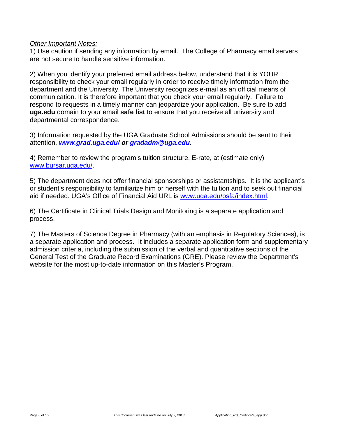#### *Other Important Notes:*

1) Use caution if sending any information by email. The College of Pharmacy email servers are not secure to handle sensitive information.

2) When you identify your preferred email address below, understand that it is YOUR responsibility to check your email regularly in order to receive timely information from the department and the University. The University recognizes e-mail as an official means of communication. It is therefore important that you check your email regularly. Failure to respond to requests in a timely manner can jeopardize your application. Be sure to add **uga.edu** domain to your email **safe list** to ensure that you receive all university and departmental correspondence.

3) Information requested by the UGA Graduate School Admissions should be sent to their attention, *[www.grad.uga.edu/](http://www.grad.uga.edu/) or [gradadm@uga.edu.](mailto:gradadm@uga.edu)* 

4) Remember to review the program's tuition structure, E-rate, at (estimate only) [www.bursar.uga.edu/.](http://www.bursar.uga.edu/)

5) The department does not offer financial sponsorships or assistantships. It is the applicant's or student's responsibility to familiarize him or herself with the tuition and to seek out financial aid if needed. UGA's Office of Financial Aid URL is [www.uga.edu/osfa/index.html.](http://www.uga.edu/osfa/index.html)

6) The Certificate in Clinical Trials Design and Monitoring is a separate application and process.

7) The Masters of Science Degree in Pharmacy (with an emphasis in Regulatory Sciences), is a separate application and process. It includes a separate application form and supplementary admission criteria, including the submission of the verbal and quantitative sections of the General Test of the Graduate Record Examinations (GRE). Please review the Department's website for the most up-to-date information on this Master's Program.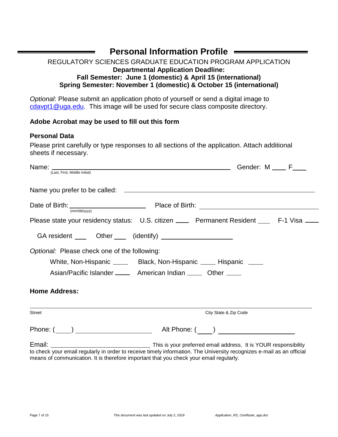## **Personal Information Profile**

#### <span id="page-6-0"></span>REGULATORY SCIENCES GRADUATE EDUCATION PROGRAM APPLICATION **Departmental Application Deadline: Fall Semester: June 1 (domestic) & April 15 (international) Spring Semester: November 1 (domestic) & October 15 (international)**

*Optional*: Please submit an application photo of yourself or send a digital image to [cdavpt1@uga.edu.](mailto:cdavpt1@uga.edu) This image will be used for secure class composite directory.

#### **Adobe Acrobat may be used to fill out this form**

#### **Personal Data**

Please print carefully or type responses to all sections of the application. Attach additional sheets if necessary.

| (Last, First, Middle Initial)                                                          |                                                                                                                       |
|----------------------------------------------------------------------------------------|-----------------------------------------------------------------------------------------------------------------------|
|                                                                                        |                                                                                                                       |
| (mm/dd/yyyy)                                                                           |                                                                                                                       |
|                                                                                        | Please state your residency status: U.S. citizen ____ Permanent Resident ___ F-1 Visa ___                             |
| GA resident ____ Other ____ (identify) ____________________                            |                                                                                                                       |
| Optional: Please check one of the following:                                           |                                                                                                                       |
|                                                                                        | White, Non-Hispanic _______ Black, Non-Hispanic _____ Hispanic _____                                                  |
|                                                                                        | Asian/Pacific Islander _______ American Indian ______ Other _____                                                     |
| <b>Home Address:</b>                                                                   |                                                                                                                       |
| <b>Street</b>                                                                          | City State & Zip Code                                                                                                 |
|                                                                                        |                                                                                                                       |
|                                                                                        |                                                                                                                       |
| means of communication. It is therefore important that you check your email regularly. | to check your email regularly in order to receive timely information. The University recognizes e-mail as an official |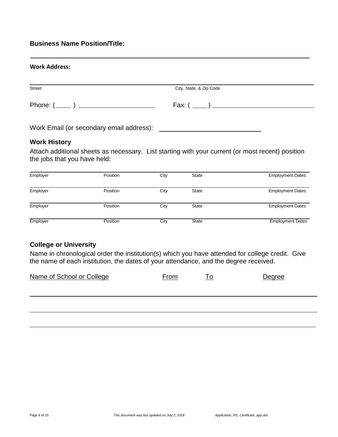#### **Business Name Position/Title:**

| <b>Work Address:</b> |                         |
|----------------------|-------------------------|
| <b>Street</b>        | City, State, & Zip Code |
|                      |                         |

Work Email (or secondary email address):

#### **Work History**

Attach additional sheets as necessary. List starting with your current (or most recent) position the jobs that you have held:

|          |                      |              | <b>Employment Dates</b> |
|----------|----------------------|--------------|-------------------------|
|          |                      |              |                         |
|          |                      |              |                         |
| Position | City                 | <b>State</b> | <b>Employment Dates</b> |
|          |                      |              |                         |
| Position | City                 | State        | <b>Employment Dates</b> |
|          |                      |              |                         |
|          |                      |              | <b>Employment Dates</b> |
|          | Position<br>Position | City<br>City | State<br><b>State</b>   |

#### **College or University**

Name in chronological order the institution(s) which you have attended for college credit. Give the name of each institution, the dates of your attendance, and the degree received.

| Name of School or College | <b>From</b> | Тo | Degree |
|---------------------------|-------------|----|--------|
|                           |             |    |        |
|                           |             |    |        |
|                           |             |    |        |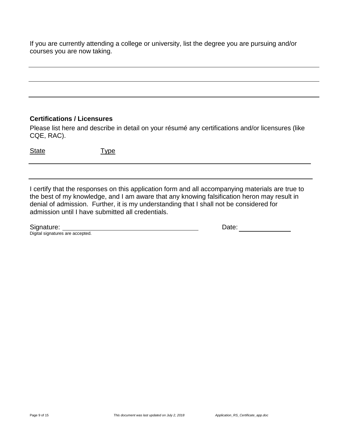If you are currently attending a college or university, list the degree you are pursuing and/or courses you are now taking.

#### **Certifications / Licensures**

Please list here and describe in detail on your résumé any certifications and/or licensures (like CQE, RAC).

٦

State Type

٦ I certify that the responses on this application form and all accompanying materials are true to the best of my knowledge, and I am aware that any knowing falsification heron may result in denial of admission. Further, it is my understanding that I shall not be considered for admission until I have submitted all credentials.

| Signature: |
|------------|
|            |

<span id="page-8-0"></span>

Signature: Signature: Signature: Date: Date: Digital signatures are accepted.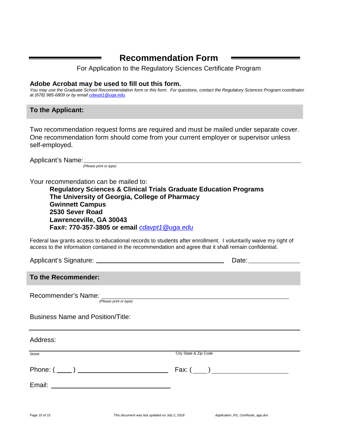### <span id="page-9-0"></span>**Recommendation Form**

For Application to the Regulatory Sciences Certificate Program

#### **Adobe Acrobat may be used to fill out this form.**

*You may use the Graduate School Recommendation form or this form. For questions, contact the Regulatory Sciences Program coordinator at (678) 985-6809 or by email [cdavpt1@uga.edu.](mailto:cdavpt1@uga.edu)*

#### **To the Applicant:**

Two recommendation request forms are required and must be mailed under separate cover. One recommendation form should come from your current employer or supervisor unless self-employed.

Applicant's Name: *(Please print or type)*

Your recommendation can be mailed to:

**Regulatory Sciences & Clinical Trials Graduate Education Programs The University of Georgia, College of Pharmacy Gwinnett Campus 2530 Sever Road Lawrenceville, GA 30043 Fax#: 770-357-3805 or email** *[cdavpt1@uga.edu.](mailto:cdavpt1@uga.edu)*

Federal law grants access to educational records to students after enrollment. I voluntarily waive my right of access to the information contained in the recommendation and agree that it shall remain confidential.

Applicant's Signature: Date:

**To the Recommender:**

Recommender's Name:

*(Please print or type)*

Business Name and Position/Title:

Address:

Street City State & Zip Code Phone:  $(\_\_)$   $\_\_$ Email: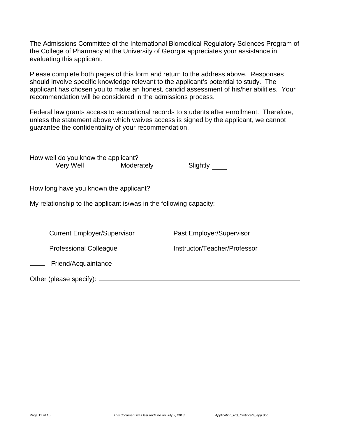The Admissions Committee of the International Biomedical Regulatory Sciences Program of the College of Pharmacy at the University of Georgia appreciates your assistance in evaluating this applicant.

Please complete both pages of this form and return to the address above. Responses should involve specific knowledge relevant to the applicant's potential to study. The applicant has chosen you to make an honest, candid assessment of his/her abilities. Your recommendation will be considered in the admissions process.

Federal law grants access to educational records to students after enrollment. Therefore, unless the statement above which waives access is signed by the applicant, we cannot guarantee the confidentiality of your recommendation.

| How well do you know the applicant?<br>Very Well Moderately        | Slightly                     |  |  |  |
|--------------------------------------------------------------------|------------------------------|--|--|--|
| How long have you known the applicant?                             |                              |  |  |  |
| My relationship to the applicant is/was in the following capacity: |                              |  |  |  |
|                                                                    |                              |  |  |  |
| Current Employer/Supervisor Current Employer/Supervisor            |                              |  |  |  |
| - Professional Colleague                                           | Instructor/Teacher/Professor |  |  |  |
| _______ Friend/Acquaintance                                        |                              |  |  |  |
|                                                                    |                              |  |  |  |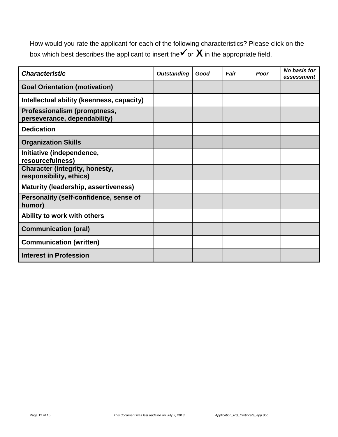How would you rate the applicant for each of the following characteristics? Please click on the box which best describes the applicant to insert the  $\checkmark$  or  $\checkmark$  in the appropriate field.

| <b>Characteristic</b>                                            | <b>Outstanding</b> | Good | Fair | Poor | No basis for<br>assessment |
|------------------------------------------------------------------|--------------------|------|------|------|----------------------------|
| <b>Goal Orientation (motivation)</b>                             |                    |      |      |      |                            |
| Intellectual ability (keenness, capacity)                        |                    |      |      |      |                            |
| Professionalism (promptness,<br>perseverance, dependability)     |                    |      |      |      |                            |
| <b>Dedication</b>                                                |                    |      |      |      |                            |
| <b>Organization Skills</b>                                       |                    |      |      |      |                            |
| Initiative (independence,<br>resourcefulness)                    |                    |      |      |      |                            |
| <b>Character (integrity, honesty,</b><br>responsibility, ethics) |                    |      |      |      |                            |
| <b>Maturity (leadership, assertiveness)</b>                      |                    |      |      |      |                            |
| Personality (self-confidence, sense of<br>humor)                 |                    |      |      |      |                            |
| Ability to work with others                                      |                    |      |      |      |                            |
| <b>Communication (oral)</b>                                      |                    |      |      |      |                            |
| <b>Communication (written)</b>                                   |                    |      |      |      |                            |
| <b>Interest in Profession</b>                                    |                    |      |      |      |                            |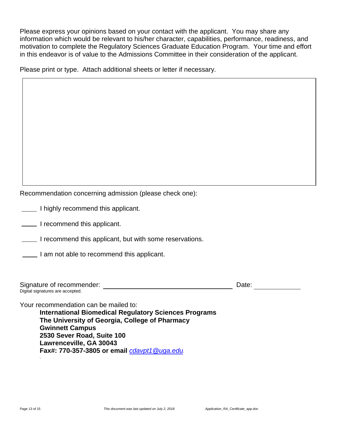Please express your opinions based on your contact with the applicant. You may share any information which would be relevant to his/her character, capabilities, performance, readiness, and motivation to complete the Regulatory Sciences Graduate Education Program. Your time and effort in this endeavor is of value to the Admissions Committee in their consideration of the applicant.

Please print or type. Attach additional sheets or letter if necessary.

Recommendation concerning admission (please check one):

**I highly recommend this applicant.** 

**I** recommend this applicant.

**I recommend this applicant, but with some reservations.** 

I am not able to recommend this applicant.

| Signature of recommender:        | )ate |  |
|----------------------------------|------|--|
| Digital signatures are accepted. |      |  |

Your recommendation can be mailed to: **International Biomedical Regulatory Sciences Programs The University of Georgia, College of Pharmacy Gwinnett Campus 2530 Sever Road, Suite 100 Lawrenceville, GA 30043 Fax#: 770-357-3805 or email** *[cdavpt1@uga.edu.](mailto:cdavpt1@uga.edu)*

*.*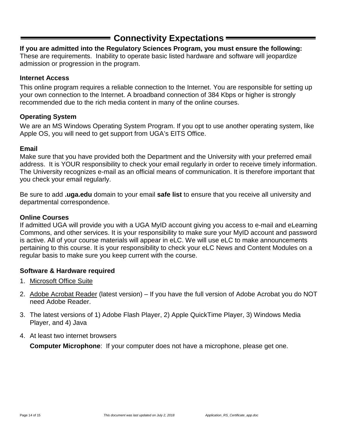## **Connectivity Expectations**

#### <span id="page-13-0"></span>**If you are admitted into the Regulatory Sciences Program, you must ensure the following:**

These are requirements. Inability to operate basic listed hardware and software will jeopardize admission or progression in the program.

#### **Internet Access**

This online program requires a reliable connection to the Internet. You are responsible for setting up your own connection to the Internet. A broadband connection of 384 Kbps or higher is strongly recommended due to the rich media content in many of the online courses.

#### **Operating System**

We are an MS Windows Operating System Program. If you opt to use another operating system, like Apple OS, you will need to get support from UGA's EITS Office.

#### **Email**

Make sure that you have provided both the Department and the University with your preferred email address. It is YOUR responsibility to check your email regularly in order to receive timely information. The University recognizes e-mail as an official means of communication. It is therefore important that you check your email regularly.

Be sure to add **.uga.edu** domain to your email **safe list** to ensure that you receive all university and departmental correspondence.

#### **Online Courses**

If admitted UGA will provide you with a UGA MyID account giving you access to e-mail and eLearning Commons, and other services. It is your responsibility to make sure your MyID account and password is active. All of your course materials will appear in eLC. We will use eLC to make announcements pertaining to this course. It is your responsibility to check your eLC News and Content Modules on a regular basis to make sure you keep current with the course.

#### **Software & Hardware required**

- 1. Microsoft Office Suite
- 2. Adobe Acrobat Reader (latest version) If you have the full version of Adobe Acrobat you do NOT need Adobe Reader.
- 3. The latest versions of 1) Adobe Flash Player, 2) Apple QuickTime Player, 3) Windows Media Player, and 4) Java
- 4. At least two internet browsers

**Computer Microphone**: If your computer does not have a microphone, please get one.